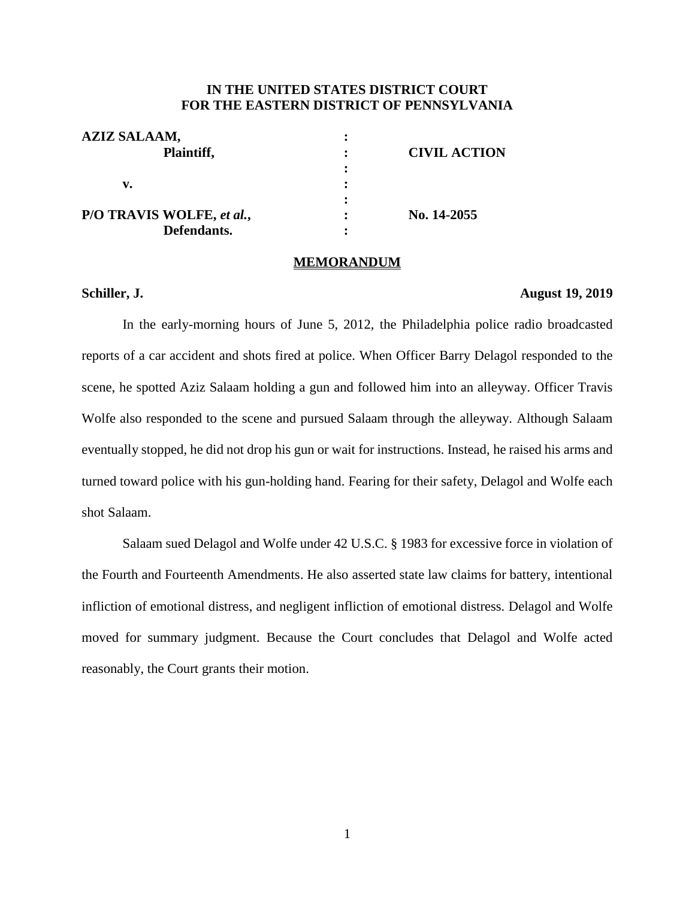# **IN THE UNITED STATES DISTRICT COURT FOR THE EASTERN DISTRICT OF PENNSYLVANIA**

| <b>AZIZ SALAAM,</b>       |                     |
|---------------------------|---------------------|
| Plaintiff,                | <b>CIVIL ACTION</b> |
|                           |                     |
| v.                        |                     |
|                           |                     |
| P/O TRAVIS WOLFE, et al., | No. 14-2055         |
| Defendants.               |                     |

#### **MEMORANDUM**

### **Schiller, J. August 19, 2019**

In the early-morning hours of June 5, 2012, the Philadelphia police radio broadcasted reports of a car accident and shots fired at police. When Officer Barry Delagol responded to the scene, he spotted Aziz Salaam holding a gun and followed him into an alleyway. Officer Travis Wolfe also responded to the scene and pursued Salaam through the alleyway. Although Salaam eventually stopped, he did not drop his gun or wait for instructions. Instead, he raised his arms and turned toward police with his gun-holding hand. Fearing for their safety, Delagol and Wolfe each shot Salaam.

Salaam sued Delagol and Wolfe under 42 U.S.C. § 1983 for excessive force in violation of the Fourth and Fourteenth Amendments. He also asserted state law claims for battery, intentional infliction of emotional distress, and negligent infliction of emotional distress. Delagol and Wolfe moved for summary judgment. Because the Court concludes that Delagol and Wolfe acted reasonably, the Court grants their motion.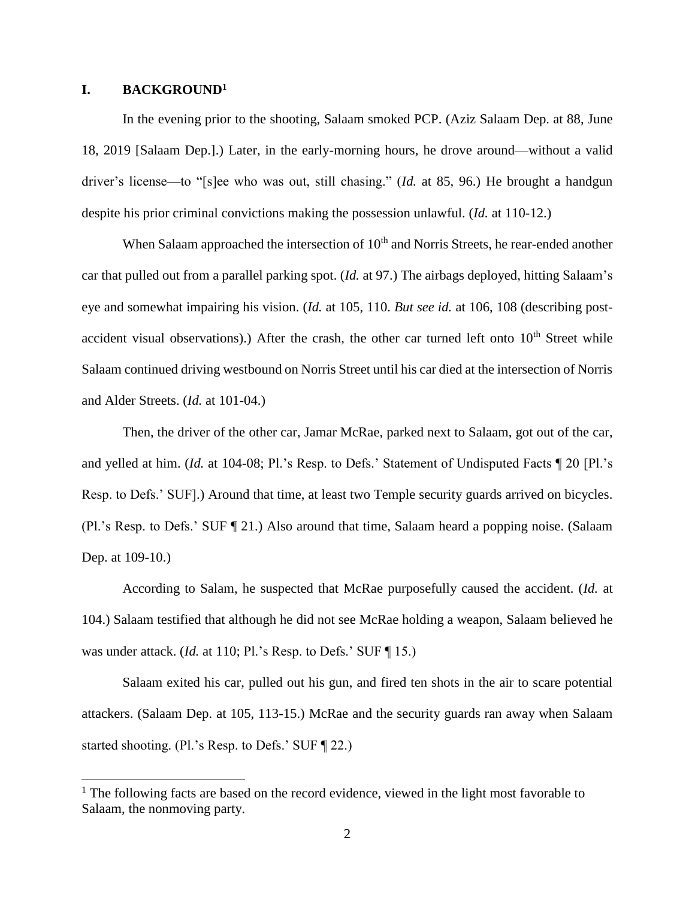#### **I. BACKGROUND<sup>1</sup>**

 $\overline{a}$ 

In the evening prior to the shooting, Salaam smoked PCP. (Aziz Salaam Dep. at 88, June 18, 2019 [Salaam Dep.].) Later, in the early-morning hours, he drove around—without a valid driver's license—to "[s]ee who was out, still chasing." (*Id.* at 85, 96.) He brought a handgun despite his prior criminal convictions making the possession unlawful. (*Id.* at 110-12.)

When Salaam approached the intersection of  $10<sup>th</sup>$  and Norris Streets, he rear-ended another car that pulled out from a parallel parking spot. (*Id.* at 97.) The airbags deployed, hitting Salaam's eye and somewhat impairing his vision. (*Id.* at 105, 110. *But see id.* at 106, 108 (describing postaccident visual observations).) After the crash, the other car turned left onto  $10<sup>th</sup>$  Street while Salaam continued driving westbound on Norris Street until his car died at the intersection of Norris and Alder Streets. (*Id.* at 101-04.)

Then, the driver of the other car, Jamar McRae, parked next to Salaam, got out of the car, and yelled at him. (*Id.* at 104-08; Pl.'s Resp. to Defs.' Statement of Undisputed Facts ¶ 20 [Pl.'s Resp. to Defs.' SUF].) Around that time, at least two Temple security guards arrived on bicycles. (Pl.'s Resp. to Defs.' SUF ¶ 21.) Also around that time, Salaam heard a popping noise. (Salaam Dep. at 109-10.)

According to Salam, he suspected that McRae purposefully caused the accident. (*Id.* at 104.) Salaam testified that although he did not see McRae holding a weapon, Salaam believed he was under attack. (*Id.* at 110; Pl.'s Resp. to Defs.' SUF [15.)

Salaam exited his car, pulled out his gun, and fired ten shots in the air to scare potential attackers. (Salaam Dep. at 105, 113-15.) McRae and the security guards ran away when Salaam started shooting. (Pl.'s Resp. to Defs.' SUF ¶ 22.)

 $<sup>1</sup>$  The following facts are based on the record evidence, viewed in the light most favorable to</sup> Salaam, the nonmoving party.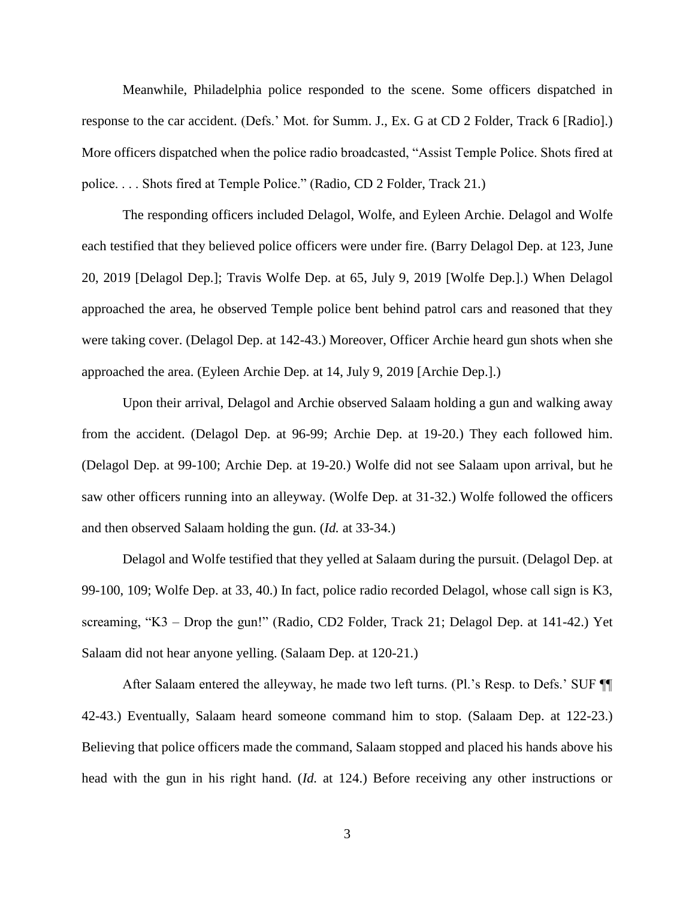Meanwhile, Philadelphia police responded to the scene. Some officers dispatched in response to the car accident. (Defs.' Mot. for Summ. J., Ex. G at CD 2 Folder, Track 6 [Radio].) More officers dispatched when the police radio broadcasted, "Assist Temple Police. Shots fired at police. . . . Shots fired at Temple Police." (Radio, CD 2 Folder, Track 21.)

The responding officers included Delagol, Wolfe, and Eyleen Archie. Delagol and Wolfe each testified that they believed police officers were under fire. (Barry Delagol Dep. at 123, June 20, 2019 [Delagol Dep.]; Travis Wolfe Dep. at 65, July 9, 2019 [Wolfe Dep.].) When Delagol approached the area, he observed Temple police bent behind patrol cars and reasoned that they were taking cover. (Delagol Dep. at 142-43.) Moreover, Officer Archie heard gun shots when she approached the area. (Eyleen Archie Dep. at 14, July 9, 2019 [Archie Dep.].)

Upon their arrival, Delagol and Archie observed Salaam holding a gun and walking away from the accident. (Delagol Dep. at 96-99; Archie Dep. at 19-20.) They each followed him. (Delagol Dep. at 99-100; Archie Dep. at 19-20.) Wolfe did not see Salaam upon arrival, but he saw other officers running into an alleyway. (Wolfe Dep. at 31-32.) Wolfe followed the officers and then observed Salaam holding the gun. (*Id.* at 33-34.)

Delagol and Wolfe testified that they yelled at Salaam during the pursuit. (Delagol Dep. at 99-100, 109; Wolfe Dep. at 33, 40.) In fact, police radio recorded Delagol, whose call sign is K3, screaming, "K3 – Drop the gun!" (Radio, CD2 Folder, Track 21; Delagol Dep. at 141-42.) Yet Salaam did not hear anyone yelling. (Salaam Dep. at 120-21.)

After Salaam entered the alleyway, he made two left turns. (Pl.'s Resp. to Defs.' SUF ¶¶ 42-43.) Eventually, Salaam heard someone command him to stop. (Salaam Dep. at 122-23.) Believing that police officers made the command, Salaam stopped and placed his hands above his head with the gun in his right hand. (*Id.* at 124.) Before receiving any other instructions or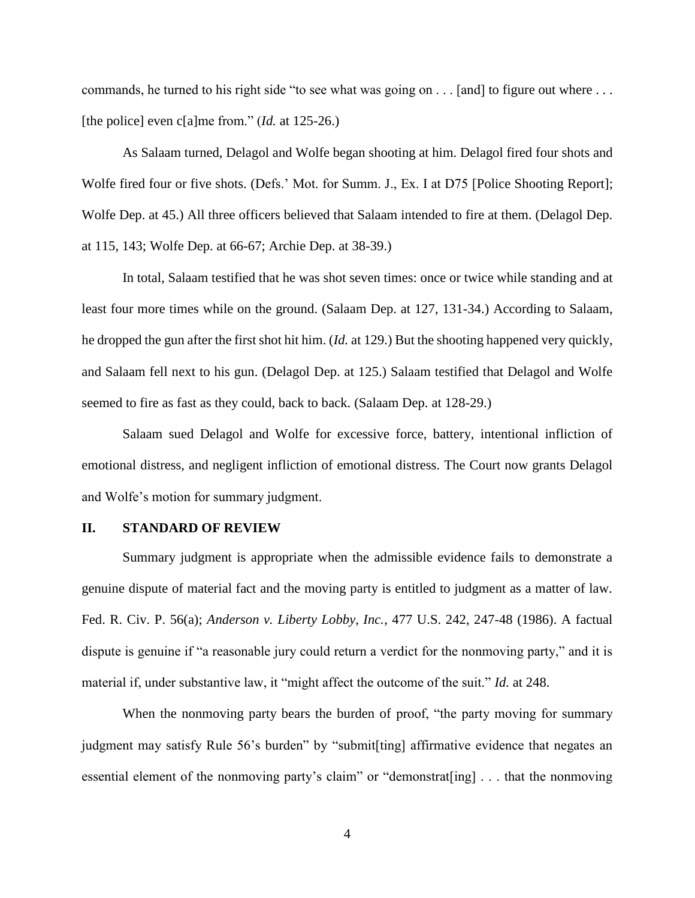commands, he turned to his right side "to see what was going on . . . [and] to figure out where . . . [the police] even c[a]me from." (*Id.* at 125-26.)

As Salaam turned, Delagol and Wolfe began shooting at him. Delagol fired four shots and Wolfe fired four or five shots. (Defs.' Mot. for Summ. J., Ex. I at D75 [Police Shooting Report]; Wolfe Dep. at 45.) All three officers believed that Salaam intended to fire at them. (Delagol Dep. at 115, 143; Wolfe Dep. at 66-67; Archie Dep. at 38-39.)

In total, Salaam testified that he was shot seven times: once or twice while standing and at least four more times while on the ground. (Salaam Dep. at 127, 131-34.) According to Salaam, he dropped the gun after the first shot hit him. (*Id.* at 129.) But the shooting happened very quickly, and Salaam fell next to his gun. (Delagol Dep. at 125.) Salaam testified that Delagol and Wolfe seemed to fire as fast as they could, back to back. (Salaam Dep. at 128-29.)

Salaam sued Delagol and Wolfe for excessive force, battery, intentional infliction of emotional distress, and negligent infliction of emotional distress. The Court now grants Delagol and Wolfe's motion for summary judgment.

#### **II. STANDARD OF REVIEW**

Summary judgment is appropriate when the admissible evidence fails to demonstrate a genuine dispute of material fact and the moving party is entitled to judgment as a matter of law. Fed. R. Civ. P. 56(a); *Anderson v. Liberty Lobby, Inc.*, 477 U.S. 242, 247-48 (1986). A factual dispute is genuine if "a reasonable jury could return a verdict for the nonmoving party," and it is material if, under substantive law, it "might affect the outcome of the suit." *Id.* at 248.

When the nonmoving party bears the burden of proof, "the party moving for summary" judgment may satisfy Rule 56's burden" by "submit[ting] affirmative evidence that negates an essential element of the nonmoving party's claim" or "demonstrat[ing] . . . that the nonmoving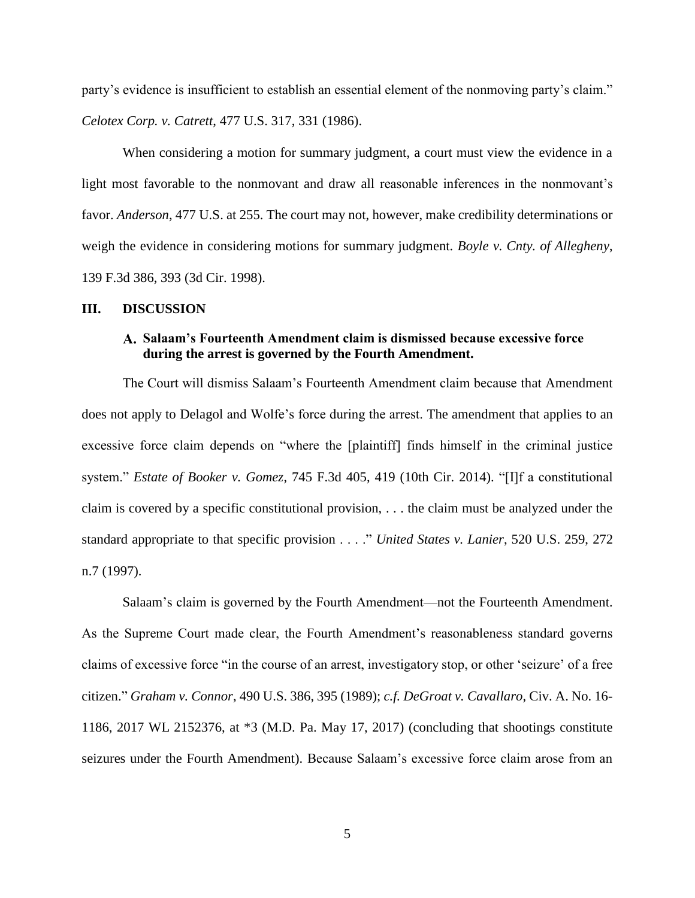party's evidence is insufficient to establish an essential element of the nonmoving party's claim." *Celotex Corp. v. Catrett*, 477 U.S. 317, 331 (1986).

When considering a motion for summary judgment, a court must view the evidence in a light most favorable to the nonmovant and draw all reasonable inferences in the nonmovant's favor. *Anderson*, 477 U.S. at 255. The court may not, however, make credibility determinations or weigh the evidence in considering motions for summary judgment. *Boyle v. Cnty. of Allegheny*, 139 F.3d 386, 393 (3d Cir. 1998).

#### **III. DISCUSSION**

## **Salaam's Fourteenth Amendment claim is dismissed because excessive force during the arrest is governed by the Fourth Amendment.**

The Court will dismiss Salaam's Fourteenth Amendment claim because that Amendment does not apply to Delagol and Wolfe's force during the arrest. The amendment that applies to an excessive force claim depends on "where the [plaintiff] finds himself in the criminal justice system." *Estate of Booker v. Gomez*, 745 F.3d 405, 419 (10th Cir. 2014). "[I]f a constitutional claim is covered by a specific constitutional provision, . . . the claim must be analyzed under the standard appropriate to that specific provision . . . ." *United States v. Lanier*, 520 U.S. 259, 272 n.7 (1997).

Salaam's claim is governed by the Fourth Amendment—not the Fourteenth Amendment. As the Supreme Court made clear, the Fourth Amendment's reasonableness standard governs claims of excessive force "in the course of an arrest, investigatory stop, or other 'seizure' of a free citizen." *Graham v. Connor*, 490 U.S. 386, 395 (1989); *c.f. DeGroat v. Cavallaro*, Civ. A. No. 16- 1186, 2017 WL 2152376, at \*3 (M.D. Pa. May 17, 2017) (concluding that shootings constitute seizures under the Fourth Amendment). Because Salaam's excessive force claim arose from an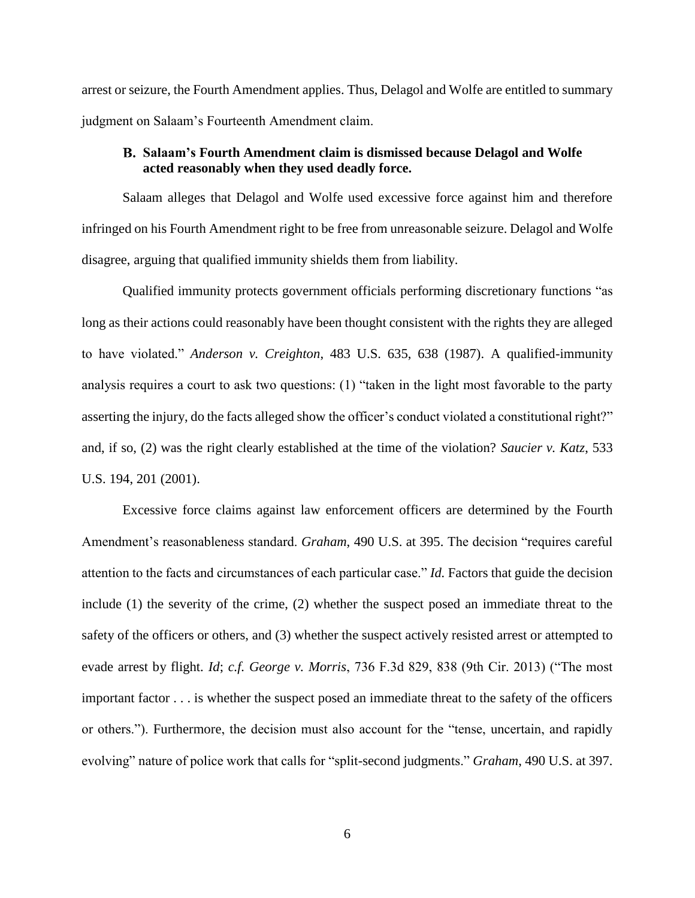arrest or seizure, the Fourth Amendment applies. Thus, Delagol and Wolfe are entitled to summary judgment on Salaam's Fourteenth Amendment claim.

## **Salaam's Fourth Amendment claim is dismissed because Delagol and Wolfe acted reasonably when they used deadly force.**

Salaam alleges that Delagol and Wolfe used excessive force against him and therefore infringed on his Fourth Amendment right to be free from unreasonable seizure. Delagol and Wolfe disagree, arguing that qualified immunity shields them from liability.

Qualified immunity protects government officials performing discretionary functions "as long as their actions could reasonably have been thought consistent with the rights they are alleged to have violated." *Anderson v. Creighton*, 483 U.S. 635, 638 (1987). A qualified-immunity analysis requires a court to ask two questions: (1) "taken in the light most favorable to the party asserting the injury, do the facts alleged show the officer's conduct violated a constitutional right?" and, if so, (2) was the right clearly established at the time of the violation? *Saucier v. Katz*, 533 U.S. 194, 201 (2001).

Excessive force claims against law enforcement officers are determined by the Fourth Amendment's reasonableness standard. *Graham*, 490 U.S. at 395. The decision "requires careful attention to the facts and circumstances of each particular case." *Id.* Factors that guide the decision include (1) the severity of the crime, (2) whether the suspect posed an immediate threat to the safety of the officers or others, and (3) whether the suspect actively resisted arrest or attempted to evade arrest by flight. *Id*; *c.f. George v. Morris*, 736 F.3d 829, 838 (9th Cir. 2013) ("The most important factor . . . is whether the suspect posed an immediate threat to the safety of the officers or others."). Furthermore, the decision must also account for the "tense, uncertain, and rapidly evolving" nature of police work that calls for "split-second judgments." *Graham*, 490 U.S. at 397.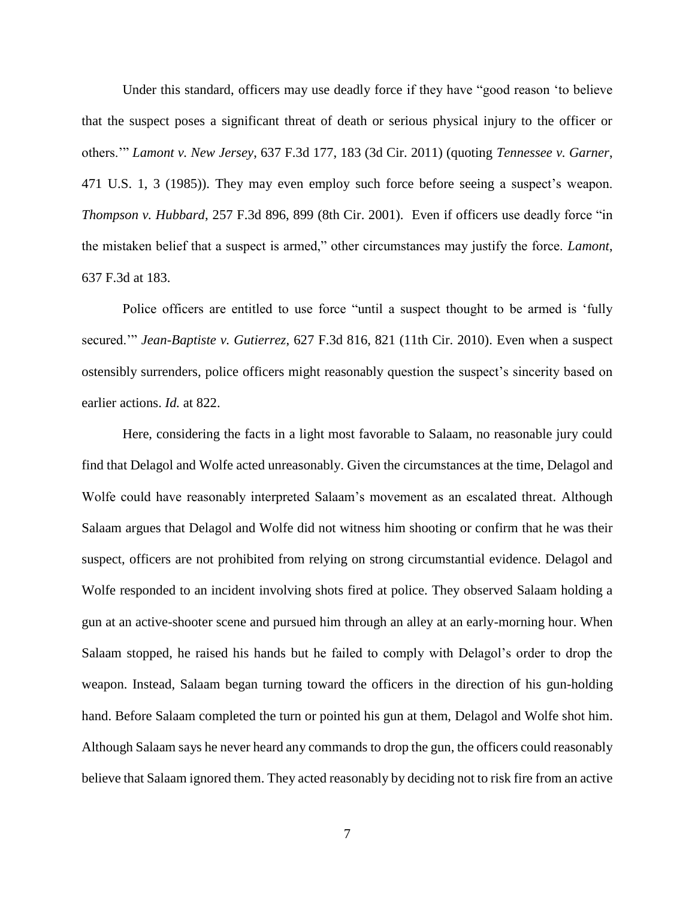Under this standard, officers may use deadly force if they have "good reason 'to believe that the suspect poses a significant threat of death or serious physical injury to the officer or others.'" *Lamont v. New Jersey*, 637 F.3d 177, 183 (3d Cir. 2011) (quoting *Tennessee v. Garner*, 471 U.S. 1, 3 (1985)). They may even employ such force before seeing a suspect's weapon. *Thompson v. Hubbard*, 257 F.3d 896, 899 (8th Cir. 2001). Even if officers use deadly force "in the mistaken belief that a suspect is armed," other circumstances may justify the force. *Lamont*, 637 F.3d at 183.

Police officers are entitled to use force "until a suspect thought to be armed is 'fully secured.'" *Jean-Baptiste v. Gutierrez*, 627 F.3d 816, 821 (11th Cir. 2010). Even when a suspect ostensibly surrenders, police officers might reasonably question the suspect's sincerity based on earlier actions. *Id.* at 822.

Here, considering the facts in a light most favorable to Salaam, no reasonable jury could find that Delagol and Wolfe acted unreasonably. Given the circumstances at the time, Delagol and Wolfe could have reasonably interpreted Salaam's movement as an escalated threat. Although Salaam argues that Delagol and Wolfe did not witness him shooting or confirm that he was their suspect, officers are not prohibited from relying on strong circumstantial evidence. Delagol and Wolfe responded to an incident involving shots fired at police. They observed Salaam holding a gun at an active-shooter scene and pursued him through an alley at an early-morning hour. When Salaam stopped, he raised his hands but he failed to comply with Delagol's order to drop the weapon. Instead, Salaam began turning toward the officers in the direction of his gun-holding hand. Before Salaam completed the turn or pointed his gun at them, Delagol and Wolfe shot him. Although Salaam says he never heard any commands to drop the gun, the officers could reasonably believe that Salaam ignored them. They acted reasonably by deciding not to risk fire from an active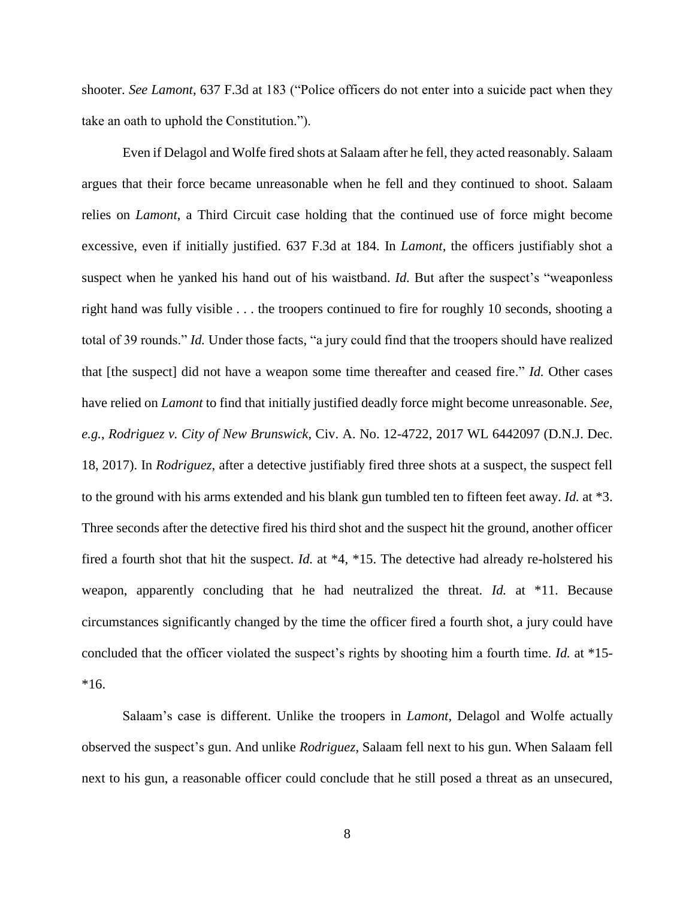shooter. *See Lamont*, 637 F.3d at 183 ("Police officers do not enter into a suicide pact when they take an oath to uphold the Constitution.").

Even if Delagol and Wolfe fired shots at Salaam after he fell, they acted reasonably. Salaam argues that their force became unreasonable when he fell and they continued to shoot. Salaam relies on *Lamont*, a Third Circuit case holding that the continued use of force might become excessive, even if initially justified. 637 F.3d at 184. In *Lamont*, the officers justifiably shot a suspect when he yanked his hand out of his waistband. *Id.* But after the suspect's "weaponless right hand was fully visible . . . the troopers continued to fire for roughly 10 seconds, shooting a total of 39 rounds." *Id.* Under those facts, "a jury could find that the troopers should have realized that [the suspect] did not have a weapon some time thereafter and ceased fire." *Id.* Other cases have relied on *Lamont* to find that initially justified deadly force might become unreasonable. *See, e.g.*, *Rodriguez v. City of New Brunswick*, Civ. A. No. 12-4722, 2017 WL 6442097 (D.N.J. Dec. 18, 2017). In *Rodriguez*, after a detective justifiably fired three shots at a suspect, the suspect fell to the ground with his arms extended and his blank gun tumbled ten to fifteen feet away. *Id.* at \*3. Three seconds after the detective fired his third shot and the suspect hit the ground, another officer fired a fourth shot that hit the suspect. *Id.* at \*4, \*15. The detective had already re-holstered his weapon, apparently concluding that he had neutralized the threat. *Id.* at \*11. Because circumstances significantly changed by the time the officer fired a fourth shot, a jury could have concluded that the officer violated the suspect's rights by shooting him a fourth time. *Id.* at \*15- \*16.

Salaam's case is different. Unlike the troopers in *Lamont*, Delagol and Wolfe actually observed the suspect's gun. And unlike *Rodriguez*, Salaam fell next to his gun. When Salaam fell next to his gun, a reasonable officer could conclude that he still posed a threat as an unsecured,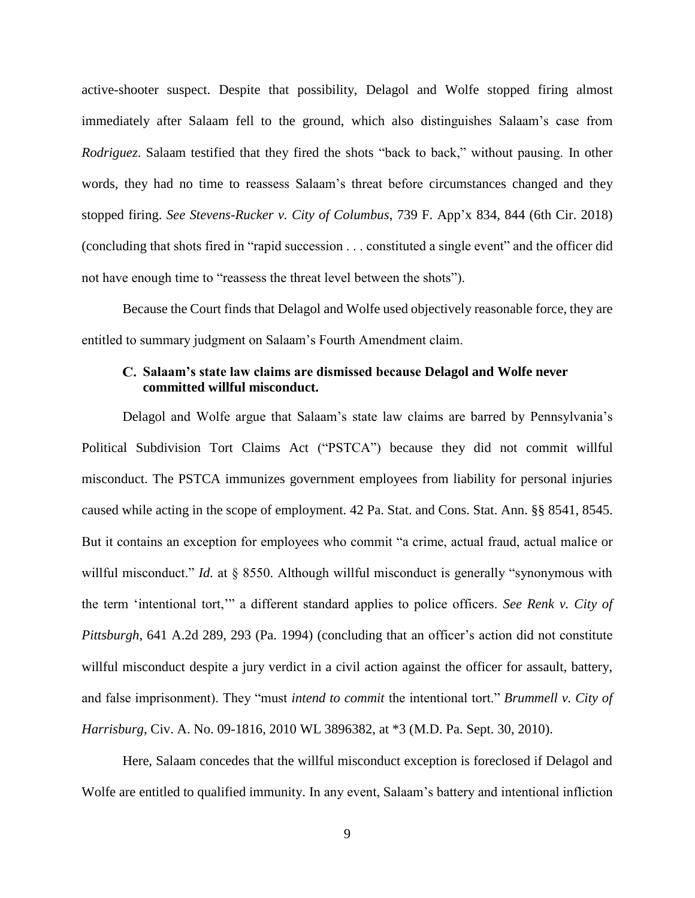active-shooter suspect. Despite that possibility, Delagol and Wolfe stopped firing almost immediately after Salaam fell to the ground, which also distinguishes Salaam's case from *Rodriguez*. Salaam testified that they fired the shots "back to back," without pausing. In other words, they had no time to reassess Salaam's threat before circumstances changed and they stopped firing. *See Stevens-Rucker v. City of Columbus*, 739 F. App'x 834, 844 (6th Cir. 2018) (concluding that shots fired in "rapid succession . . . constituted a single event" and the officer did not have enough time to "reassess the threat level between the shots").

Because the Court finds that Delagol and Wolfe used objectively reasonable force, they are entitled to summary judgment on Salaam's Fourth Amendment claim.

# **Salaam's state law claims are dismissed because Delagol and Wolfe never committed willful misconduct.**

Delagol and Wolfe argue that Salaam's state law claims are barred by Pennsylvania's Political Subdivision Tort Claims Act ("PSTCA") because they did not commit willful misconduct. The PSTCA immunizes government employees from liability for personal injuries caused while acting in the scope of employment. 42 Pa. Stat. and Cons. Stat. Ann. §§ 8541, 8545. But it contains an exception for employees who commit "a crime, actual fraud, actual malice or willful misconduct." *Id.* at § 8550. Although willful misconduct is generally "synonymous with the term 'intentional tort,'" a different standard applies to police officers. *See Renk v. City of Pittsburgh*, 641 A.2d 289, 293 (Pa. 1994) (concluding that an officer's action did not constitute willful misconduct despite a jury verdict in a civil action against the officer for assault, battery, and false imprisonment). They "must *intend to commit* the intentional tort." *Brummell v. City of Harrisburg*, Civ. A. No. 09-1816, 2010 WL 3896382, at \*3 (M.D. Pa. Sept. 30, 2010).

Here, Salaam concedes that the willful misconduct exception is foreclosed if Delagol and Wolfe are entitled to qualified immunity. In any event, Salaam's battery and intentional infliction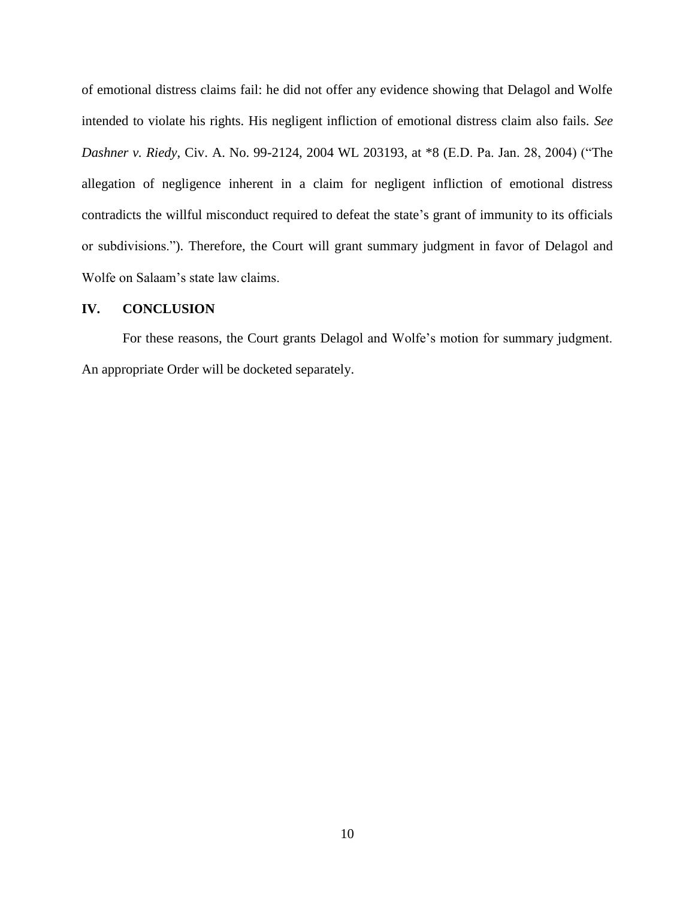of emotional distress claims fail: he did not offer any evidence showing that Delagol and Wolfe intended to violate his rights. His negligent infliction of emotional distress claim also fails. *See Dashner v. Riedy*, Civ. A. No. 99-2124, 2004 WL 203193, at \*8 (E.D. Pa. Jan. 28, 2004) ("The allegation of negligence inherent in a claim for negligent infliction of emotional distress contradicts the willful misconduct required to defeat the state's grant of immunity to its officials or subdivisions."). Therefore, the Court will grant summary judgment in favor of Delagol and Wolfe on Salaam's state law claims.

## **IV. CONCLUSION**

For these reasons, the Court grants Delagol and Wolfe's motion for summary judgment. An appropriate Order will be docketed separately.